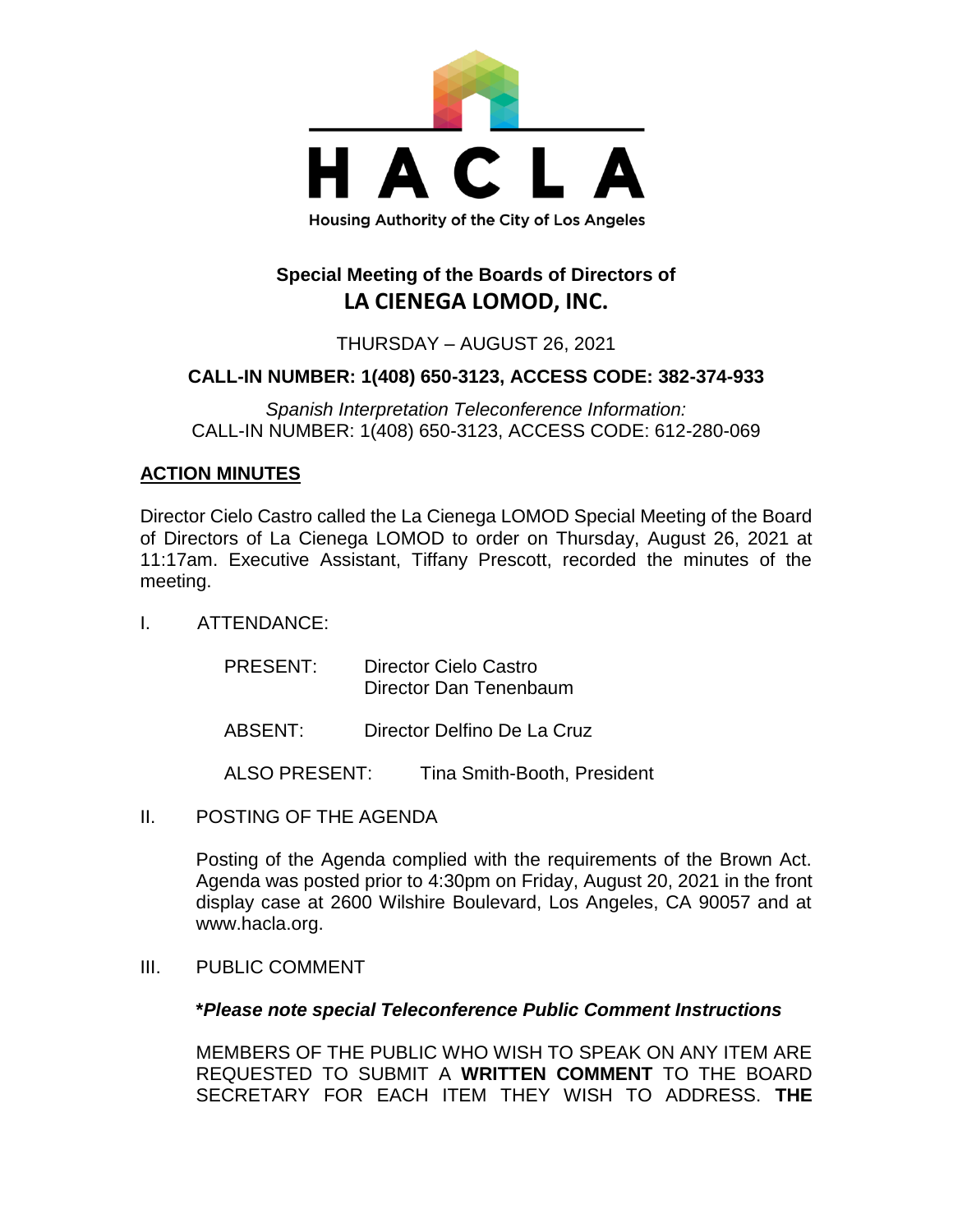

# **Special Meeting of the Boards of Directors of LA CIENEGA LOMOD, INC.**

THURSDAY – AUGUST 26, 2021

## **CALL-IN NUMBER: 1(408) 650-3123, ACCESS CODE: 382-374-933**

*Spanish Interpretation Teleconference Information:* CALL-IN NUMBER: 1(408) 650-3123, ACCESS CODE: 612-280-069

## **ACTION MINUTES**

Director Cielo Castro called the La Cienega LOMOD Special Meeting of the Board of Directors of La Cienega LOMOD to order on Thursday, August 26, 2021 at 11:17am. Executive Assistant, Tiffany Prescott, recorded the minutes of the meeting.

I. ATTENDANCE:

| PRESENT: | Director Cielo Castro<br>Director Dan Tenenbaum |
|----------|-------------------------------------------------|
| ABSENT:  | Director Delfino De La Cruz                     |

ALSO PRESENT: Tina Smith-Booth, President

II. POSTING OF THE AGENDA

Posting of the Agenda complied with the requirements of the Brown Act. Agenda was posted prior to 4:30pm on Friday, August 20, 2021 in the front display case at 2600 Wilshire Boulevard, Los Angeles, CA 90057 and at www.hacla.org.

III. PUBLIC COMMENT

#### **\****Please note special Teleconference Public Comment Instructions*

MEMBERS OF THE PUBLIC WHO WISH TO SPEAK ON ANY ITEM ARE REQUESTED TO SUBMIT A **WRITTEN COMMENT** TO THE BOARD SECRETARY FOR EACH ITEM THEY WISH TO ADDRESS. **THE**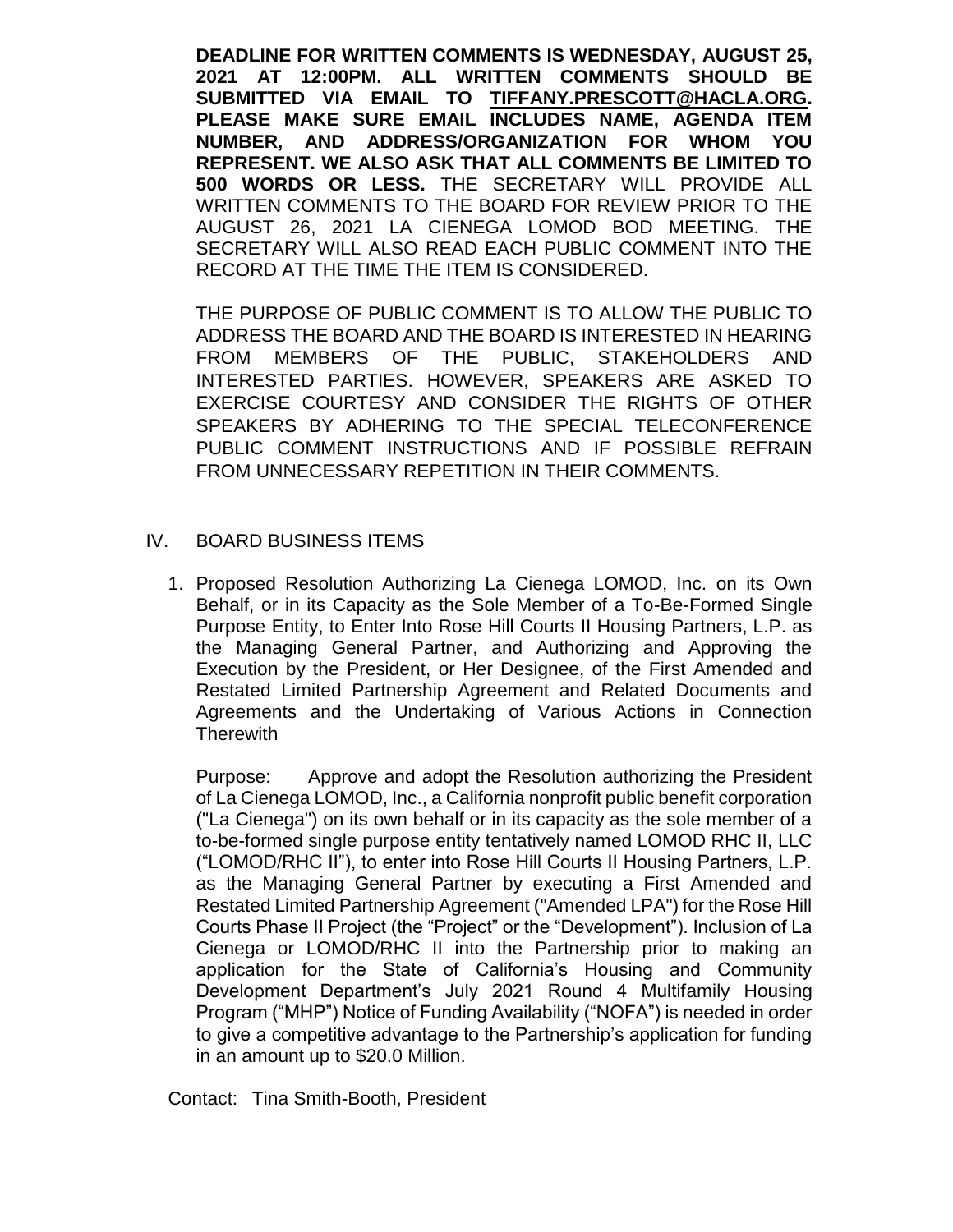**DEADLINE FOR WRITTEN COMMENTS IS WEDNESDAY, AUGUST 25, 2021 AT 12:00PM. ALL WRITTEN COMMENTS SHOULD BE SUBMITTED VIA EMAIL TO [TIFFANY.PRESCOTT@HACLA.ORG.](mailto:TIFFANY.PRESCOTT@HACLA.ORG) PLEASE MAKE SURE EMAIL INCLUDES NAME, AGENDA ITEM NUMBER, AND ADDRESS/ORGANIZATION FOR WHOM YOU REPRESENT. WE ALSO ASK THAT ALL COMMENTS BE LIMITED TO 500 WORDS OR LESS.** THE SECRETARY WILL PROVIDE ALL WRITTEN COMMENTS TO THE BOARD FOR REVIEW PRIOR TO THE AUGUST 26, 2021 LA CIENEGA LOMOD BOD MEETING. THE SECRETARY WILL ALSO READ EACH PUBLIC COMMENT INTO THE RECORD AT THE TIME THE ITEM IS CONSIDERED.

THE PURPOSE OF PUBLIC COMMENT IS TO ALLOW THE PUBLIC TO ADDRESS THE BOARD AND THE BOARD IS INTERESTED IN HEARING FROM MEMBERS OF THE PUBLIC, STAKEHOLDERS AND INTERESTED PARTIES. HOWEVER, SPEAKERS ARE ASKED TO EXERCISE COURTESY AND CONSIDER THE RIGHTS OF OTHER SPEAKERS BY ADHERING TO THE SPECIAL TELECONFERENCE PUBLIC COMMENT INSTRUCTIONS AND IF POSSIBLE REFRAIN FROM UNNECESSARY REPETITION IN THEIR COMMENTS.

#### IV. BOARD BUSINESS ITEMS

1. Proposed Resolution Authorizing La Cienega LOMOD, Inc. on its Own Behalf, or in its Capacity as the Sole Member of a To-Be-Formed Single Purpose Entity, to Enter Into Rose Hill Courts II Housing Partners, L.P. as the Managing General Partner, and Authorizing and Approving the Execution by the President, or Her Designee, of the First Amended and Restated Limited Partnership Agreement and Related Documents and Agreements and the Undertaking of Various Actions in Connection **Therewith** 

Purpose: Approve and adopt the Resolution authorizing the President of La Cienega LOMOD, Inc., a California nonprofit public benefit corporation ("La Cienega") on its own behalf or in its capacity as the sole member of a to-be-formed single purpose entity tentatively named LOMOD RHC II, LLC ("LOMOD/RHC II"), to enter into Rose Hill Courts II Housing Partners, L.P. as the Managing General Partner by executing a First Amended and Restated Limited Partnership Agreement ("Amended LPA") for the Rose Hill Courts Phase II Project (the "Project" or the "Development"). Inclusion of La Cienega or LOMOD/RHC II into the Partnership prior to making an application for the State of California's Housing and Community Development Department's July 2021 Round 4 Multifamily Housing Program ("MHP") Notice of Funding Availability ("NOFA") is needed in order to give a competitive advantage to the Partnership's application for funding in an amount up to \$20.0 Million.

Contact: Tina Smith-Booth, President